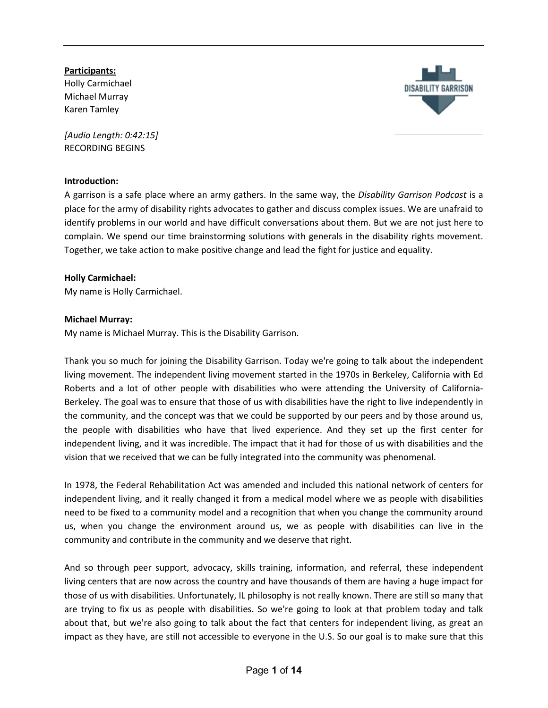## **Participants:**

Holly Carmichael Michael Murray Karen Tamley

*[Audio Length: 0:42:15]* RECORDING BEGINS

## **Introduction:**

A garrison is a safe place where an army gathers. In the same way, the *Disability Garrison Podcast* is a place for the army of disability rights advocates to gather and discuss complex issues. We are unafraid to identify problems in our world and have difficult conversations about them. But we are not just here to complain. We spend our time brainstorming solutions with generals in the disability rights movement. Together, we take action to make positive change and lead the fight for justice and equality.

## **Holly Carmichael:**

My name is Holly Carmichael.

## **Michael Murray:**

My name is Michael Murray. This is the Disability Garrison.

Thank you so much for joining the Disability Garrison. Today we're going to talk about the independent living movement. The independent living movement started in the 1970s in Berkeley, California with Ed Roberts and a lot of other people with disabilities who were attending the University of California-Berkeley. The goal was to ensure that those of us with disabilities have the right to live independently in the community, and the concept was that we could be supported by our peers and by those around us, the people with disabilities who have that lived experience. And they set up the first center for independent living, and it was incredible. The impact that it had for those of us with disabilities and the vision that we received that we can be fully integrated into the community was phenomenal.

In 1978, the Federal Rehabilitation Act was amended and included this national network of centers for independent living, and it really changed it from a medical model where we as people with disabilities need to be fixed to a community model and a recognition that when you change the community around us, when you change the environment around us, we as people with disabilities can live in the community and contribute in the community and we deserve that right.

And so through peer support, advocacy, skills training, information, and referral, these independent living centers that are now across the country and have thousands of them are having a huge impact for those of us with disabilities. Unfortunately, IL philosophy is not really known. There are still so many that are trying to fix us as people with disabilities. So we're going to look at that problem today and talk about that, but we're also going to talk about the fact that centers for independent living, as great an impact as they have, are still not accessible to everyone in the U.S. So our goal is to make sure that this

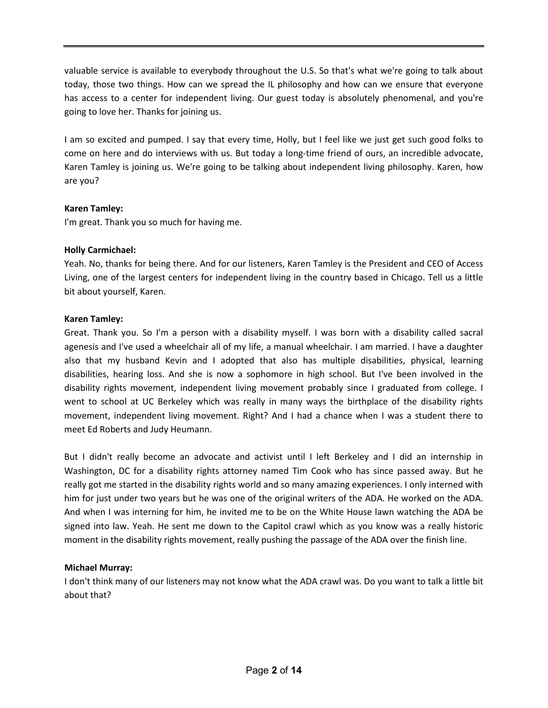valuable service is available to everybody throughout the U.S. So that's what we're going to talk about today, those two things. How can we spread the IL philosophy and how can we ensure that everyone has access to a center for independent living. Our guest today is absolutely phenomenal, and you're going to love her. Thanks for joining us.

I am so excited and pumped. I say that every time, Holly, but I feel like we just get such good folks to come on here and do interviews with us. But today a long-time friend of ours, an incredible advocate, Karen Tamley is joining us. We're going to be talking about independent living philosophy. Karen, how are you?

## **Karen Tamley:**

I'm great. Thank you so much for having me.

## **Holly Carmichael:**

Yeah. No, thanks for being there. And for our listeners, Karen Tamley is the President and CEO of Access Living, one of the largest centers for independent living in the country based in Chicago. Tell us a little bit about yourself, Karen.

## **Karen Tamley:**

Great. Thank you. So I'm a person with a disability myself. I was born with a disability called sacral agenesis and I've used a wheelchair all of my life, a manual wheelchair. I am married. I have a daughter also that my husband Kevin and I adopted that also has multiple disabilities, physical, learning disabilities, hearing loss. And she is now a sophomore in high school. But I've been involved in the disability rights movement, independent living movement probably since I graduated from college. I went to school at UC Berkeley which was really in many ways the birthplace of the disability rights movement, independent living movement. Right? And I had a chance when I was a student there to meet Ed Roberts and Judy Heumann.

But I didn't really become an advocate and activist until I left Berkeley and I did an internship in Washington, DC for a disability rights attorney named Tim Cook who has since passed away. But he really got me started in the disability rights world and so many amazing experiences. I only interned with him for just under two years but he was one of the original writers of the ADA. He worked on the ADA. And when I was interning for him, he invited me to be on the White House lawn watching the ADA be signed into law. Yeah. He sent me down to the Capitol crawl which as you know was a really historic moment in the disability rights movement, really pushing the passage of the ADA over the finish line.

#### **Michael Murray:**

I don't think many of our listeners may not know what the ADA crawl was. Do you want to talk a little bit about that?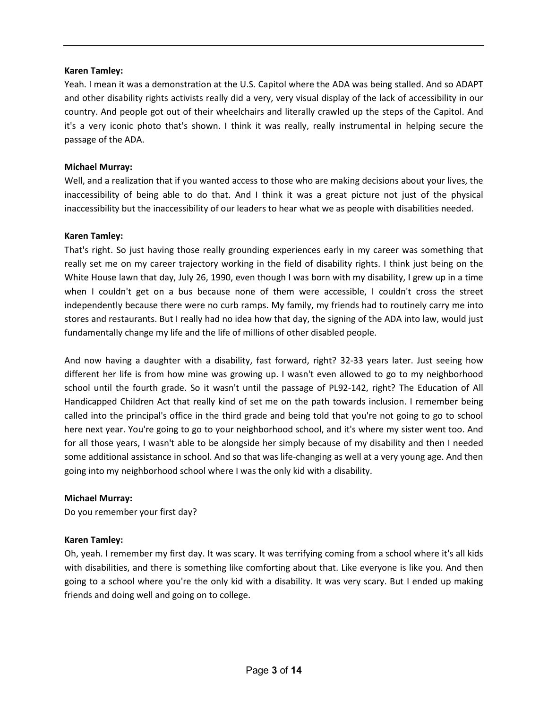Yeah. I mean it was a demonstration at the U.S. Capitol where the ADA was being stalled. And so ADAPT and other disability rights activists really did a very, very visual display of the lack of accessibility in our country. And people got out of their wheelchairs and literally crawled up the steps of the Capitol. And it's a very iconic photo that's shown. I think it was really, really instrumental in helping secure the passage of the ADA.

## **Michael Murray:**

Well, and a realization that if you wanted access to those who are making decisions about your lives, the inaccessibility of being able to do that. And I think it was a great picture not just of the physical inaccessibility but the inaccessibility of our leaders to hear what we as people with disabilities needed.

## **Karen Tamley:**

That's right. So just having those really grounding experiences early in my career was something that really set me on my career trajectory working in the field of disability rights. I think just being on the White House lawn that day, July 26, 1990, even though I was born with my disability, I grew up in a time when I couldn't get on a bus because none of them were accessible, I couldn't cross the street independently because there were no curb ramps. My family, my friends had to routinely carry me into stores and restaurants. But I really had no idea how that day, the signing of the ADA into law, would just fundamentally change my life and the life of millions of other disabled people.

And now having a daughter with a disability, fast forward, right? 32-33 years later. Just seeing how different her life is from how mine was growing up. I wasn't even allowed to go to my neighborhood school until the fourth grade. So it wasn't until the passage of PL92-142, right? The Education of All Handicapped Children Act that really kind of set me on the path towards inclusion. I remember being called into the principal's office in the third grade and being told that you're not going to go to school here next year. You're going to go to your neighborhood school, and it's where my sister went too. And for all those years, I wasn't able to be alongside her simply because of my disability and then I needed some additional assistance in school. And so that was life-changing as well at a very young age. And then going into my neighborhood school where I was the only kid with a disability.

#### **Michael Murray:**

Do you remember your first day?

## **Karen Tamley:**

Oh, yeah. I remember my first day. It was scary. It was terrifying coming from a school where it's all kids with disabilities, and there is something like comforting about that. Like everyone is like you. And then going to a school where you're the only kid with a disability. It was very scary. But I ended up making friends and doing well and going on to college.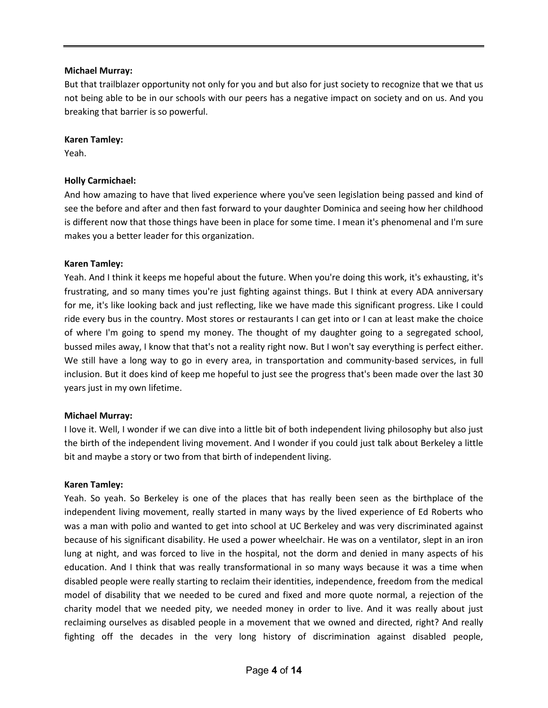### **Michael Murray:**

But that trailblazer opportunity not only for you and but also for just society to recognize that we that us not being able to be in our schools with our peers has a negative impact on society and on us. And you breaking that barrier is so powerful.

## **Karen Tamley:**

Yeah.

## **Holly Carmichael:**

And how amazing to have that lived experience where you've seen legislation being passed and kind of see the before and after and then fast forward to your daughter Dominica and seeing how her childhood is different now that those things have been in place for some time. I mean it's phenomenal and I'm sure makes you a better leader for this organization.

## **Karen Tamley:**

Yeah. And I think it keeps me hopeful about the future. When you're doing this work, it's exhausting, it's frustrating, and so many times you're just fighting against things. But I think at every ADA anniversary for me, it's like looking back and just reflecting, like we have made this significant progress. Like I could ride every bus in the country. Most stores or restaurants I can get into or I can at least make the choice of where I'm going to spend my money. The thought of my daughter going to a segregated school, bussed miles away, I know that that's not a reality right now. But I won't say everything is perfect either. We still have a long way to go in every area, in transportation and community-based services, in full inclusion. But it does kind of keep me hopeful to just see the progress that's been made over the last 30 years just in my own lifetime.

#### **Michael Murray:**

I love it. Well, I wonder if we can dive into a little bit of both independent living philosophy but also just the birth of the independent living movement. And I wonder if you could just talk about Berkeley a little bit and maybe a story or two from that birth of independent living.

#### **Karen Tamley:**

Yeah. So yeah. So Berkeley is one of the places that has really been seen as the birthplace of the independent living movement, really started in many ways by the lived experience of Ed Roberts who was a man with polio and wanted to get into school at UC Berkeley and was very discriminated against because of his significant disability. He used a power wheelchair. He was on a ventilator, slept in an iron lung at night, and was forced to live in the hospital, not the dorm and denied in many aspects of his education. And I think that was really transformational in so many ways because it was a time when disabled people were really starting to reclaim their identities, independence, freedom from the medical model of disability that we needed to be cured and fixed and more quote normal, a rejection of the charity model that we needed pity, we needed money in order to live. And it was really about just reclaiming ourselves as disabled people in a movement that we owned and directed, right? And really fighting off the decades in the very long history of discrimination against disabled people,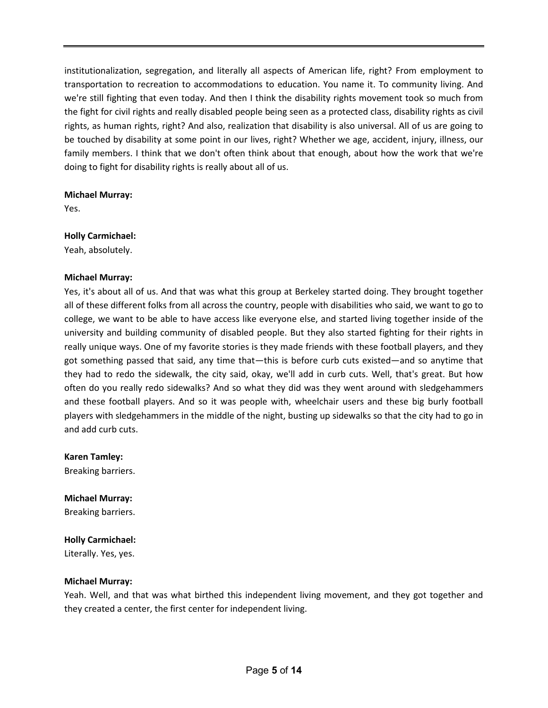institutionalization, segregation, and literally all aspects of American life, right? From employment to transportation to recreation to accommodations to education. You name it. To community living. And we're still fighting that even today. And then I think the disability rights movement took so much from the fight for civil rights and really disabled people being seen as a protected class, disability rights as civil rights, as human rights, right? And also, realization that disability is also universal. All of us are going to be touched by disability at some point in our lives, right? Whether we age, accident, injury, illness, our family members. I think that we don't often think about that enough, about how the work that we're doing to fight for disability rights is really about all of us.

#### **Michael Murray:**

Yes.

## **Holly Carmichael:**

Yeah, absolutely.

## **Michael Murray:**

Yes, it's about all of us. And that was what this group at Berkeley started doing. They brought together all of these different folks from all across the country, people with disabilities who said, we want to go to college, we want to be able to have access like everyone else, and started living together inside of the university and building community of disabled people. But they also started fighting for their rights in really unique ways. One of my favorite stories is they made friends with these football players, and they got something passed that said, any time that—this is before curb cuts existed—and so anytime that they had to redo the sidewalk, the city said, okay, we'll add in curb cuts. Well, that's great. But how often do you really redo sidewalks? And so what they did was they went around with sledgehammers and these football players. And so it was people with, wheelchair users and these big burly football players with sledgehammers in the middle of the night, busting up sidewalks so that the city had to go in and add curb cuts.

#### **Karen Tamley:**

Breaking barriers.

# **Michael Murray:**

Breaking barriers.

#### **Holly Carmichael:**

Literally. Yes, yes.

#### **Michael Murray:**

Yeah. Well, and that was what birthed this independent living movement, and they got together and they created a center, the first center for independent living.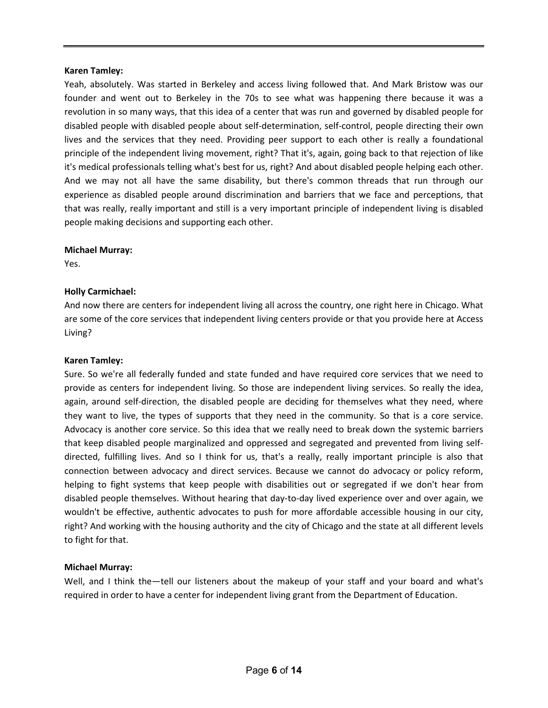Yeah, absolutely. Was started in Berkeley and access living followed that. And Mark Bristow was our founder and went out to Berkeley in the 70s to see what was happening there because it was a revolution in so many ways, that this idea of a center that was run and governed by disabled people for disabled people with disabled people about self-determination, self-control, people directing their own lives and the services that they need. Providing peer support to each other is really a foundational principle of the independent living movement, right? That it's, again, going back to that rejection of like it's medical professionals telling what's best for us, right? And about disabled people helping each other. And we may not all have the same disability, but there's common threads that run through our experience as disabled people around discrimination and barriers that we face and perceptions, that that was really, really important and still is a very important principle of independent living is disabled people making decisions and supporting each other.

#### **Michael Murray:**

Yes.

#### **Holly Carmichael:**

And now there are centers for independent living all across the country, one right here in Chicago. What are some of the core services that independent living centers provide or that you provide here at Access Living?

#### **Karen Tamley:**

Sure. So we're all federally funded and state funded and have required core services that we need to provide as centers for independent living. So those are independent living services. So really the idea, again, around self-direction, the disabled people are deciding for themselves what they need, where they want to live, the types of supports that they need in the community. So that is a core service. Advocacy is another core service. So this idea that we really need to break down the systemic barriers that keep disabled people marginalized and oppressed and segregated and prevented from living selfdirected, fulfilling lives. And so I think for us, that's a really, really important principle is also that connection between advocacy and direct services. Because we cannot do advocacy or policy reform, helping to fight systems that keep people with disabilities out or segregated if we don't hear from disabled people themselves. Without hearing that day-to-day lived experience over and over again, we wouldn't be effective, authentic advocates to push for more affordable accessible housing in our city, right? And working with the housing authority and the city of Chicago and the state at all different levels to fight for that.

#### **Michael Murray:**

Well, and I think the—tell our listeners about the makeup of your staff and your board and what's required in order to have a center for independent living grant from the Department of Education.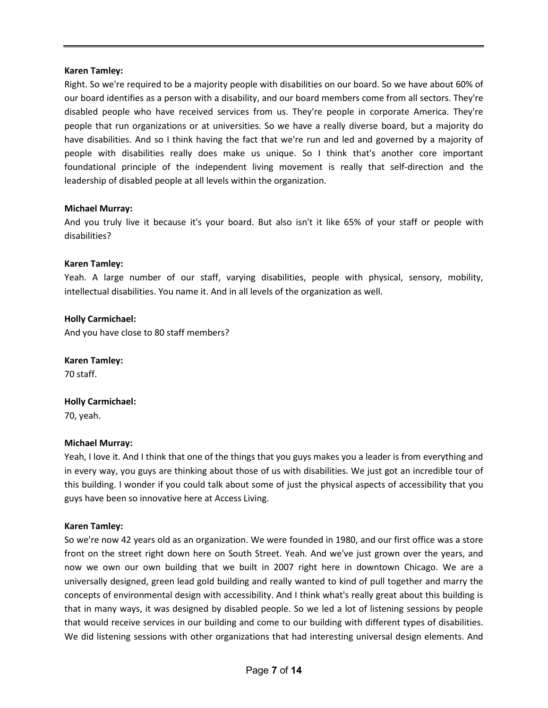Right. So we're required to be a majority people with disabilities on our board. So we have about 60% of our board identifies as a person with a disability, and our board members come from all sectors. They're disabled people who have received services from us. They're people in corporate America. They're people that run organizations or at universities. So we have a really diverse board, but a majority do have disabilities. And so I think having the fact that we're run and led and governed by a majority of people with disabilities really does make us unique. So I think that's another core important foundational principle of the independent living movement is really that self-direction and the leadership of disabled people at all levels within the organization.

#### **Michael Murray:**

And you truly live it because it's your board. But also isn't it like 65% of your staff or people with disabilities?

#### **Karen Tamley:**

Yeah. A large number of our staff, varying disabilities, people with physical, sensory, mobility, intellectual disabilities. You name it. And in all levels of the organization as well.

#### **Holly Carmichael:**

And you have close to 80 staff members?

#### **Karen Tamley:**

70 staff.

#### **Holly Carmichael:**

70, yeah.

#### **Michael Murray:**

Yeah, I love it. And I think that one of the things that you guys makes you a leader is from everything and in every way, you guys are thinking about those of us with disabilities. We just got an incredible tour of this building. I wonder if you could talk about some of just the physical aspects of accessibility that you guys have been so innovative here at Access Living.

#### **Karen Tamley:**

So we're now 42 years old as an organization. We were founded in 1980, and our first office was a store front on the street right down here on South Street. Yeah. And we've just grown over the years, and now we own our own building that we built in 2007 right here in downtown Chicago. We are a universally designed, green lead gold building and really wanted to kind of pull together and marry the concepts of environmental design with accessibility. And I think what's really great about this building is that in many ways, it was designed by disabled people. So we led a lot of listening sessions by people that would receive services in our building and come to our building with different types of disabilities. We did listening sessions with other organizations that had interesting universal design elements. And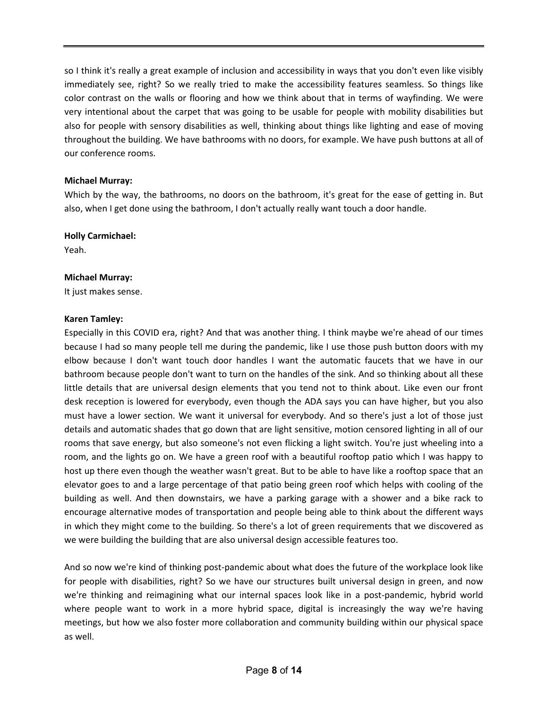so I think it's really a great example of inclusion and accessibility in ways that you don't even like visibly immediately see, right? So we really tried to make the accessibility features seamless. So things like color contrast on the walls or flooring and how we think about that in terms of wayfinding. We were very intentional about the carpet that was going to be usable for people with mobility disabilities but also for people with sensory disabilities as well, thinking about things like lighting and ease of moving throughout the building. We have bathrooms with no doors, for example. We have push buttons at all of our conference rooms.

## **Michael Murray:**

Which by the way, the bathrooms, no doors on the bathroom, it's great for the ease of getting in. But also, when I get done using the bathroom, I don't actually really want touch a door handle.

#### **Holly Carmichael:**

Yeah.

## **Michael Murray:**

It just makes sense.

## **Karen Tamley:**

Especially in this COVID era, right? And that was another thing. I think maybe we're ahead of our times because I had so many people tell me during the pandemic, like I use those push button doors with my elbow because I don't want touch door handles I want the automatic faucets that we have in our bathroom because people don't want to turn on the handles of the sink. And so thinking about all these little details that are universal design elements that you tend not to think about. Like even our front desk reception is lowered for everybody, even though the ADA says you can have higher, but you also must have a lower section. We want it universal for everybody. And so there's just a lot of those just details and automatic shades that go down that are light sensitive, motion censored lighting in all of our rooms that save energy, but also someone's not even flicking a light switch. You're just wheeling into a room, and the lights go on. We have a green roof with a beautiful rooftop patio which I was happy to host up there even though the weather wasn't great. But to be able to have like a rooftop space that an elevator goes to and a large percentage of that patio being green roof which helps with cooling of the building as well. And then downstairs, we have a parking garage with a shower and a bike rack to encourage alternative modes of transportation and people being able to think about the different ways in which they might come to the building. So there's a lot of green requirements that we discovered as we were building the building that are also universal design accessible features too.

And so now we're kind of thinking post-pandemic about what does the future of the workplace look like for people with disabilities, right? So we have our structures built universal design in green, and now we're thinking and reimagining what our internal spaces look like in a post-pandemic, hybrid world where people want to work in a more hybrid space, digital is increasingly the way we're having meetings, but how we also foster more collaboration and community building within our physical space as well.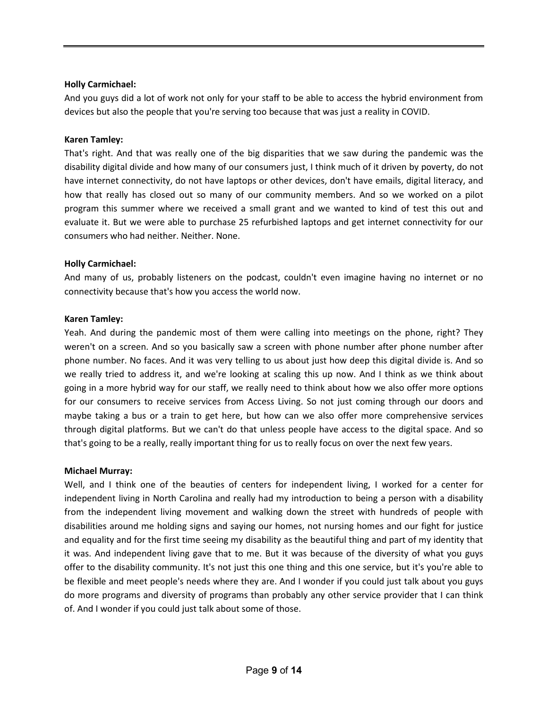#### **Holly Carmichael:**

And you guys did a lot of work not only for your staff to be able to access the hybrid environment from devices but also the people that you're serving too because that was just a reality in COVID.

#### **Karen Tamley:**

That's right. And that was really one of the big disparities that we saw during the pandemic was the disability digital divide and how many of our consumers just, I think much of it driven by poverty, do not have internet connectivity, do not have laptops or other devices, don't have emails, digital literacy, and how that really has closed out so many of our community members. And so we worked on a pilot program this summer where we received a small grant and we wanted to kind of test this out and evaluate it. But we were able to purchase 25 refurbished laptops and get internet connectivity for our consumers who had neither. Neither. None.

#### **Holly Carmichael:**

And many of us, probably listeners on the podcast, couldn't even imagine having no internet or no connectivity because that's how you access the world now.

#### **Karen Tamley:**

Yeah. And during the pandemic most of them were calling into meetings on the phone, right? They weren't on a screen. And so you basically saw a screen with phone number after phone number after phone number. No faces. And it was very telling to us about just how deep this digital divide is. And so we really tried to address it, and we're looking at scaling this up now. And I think as we think about going in a more hybrid way for our staff, we really need to think about how we also offer more options for our consumers to receive services from Access Living. So not just coming through our doors and maybe taking a bus or a train to get here, but how can we also offer more comprehensive services through digital platforms. But we can't do that unless people have access to the digital space. And so that's going to be a really, really important thing for us to really focus on over the next few years.

#### **Michael Murray:**

Well, and I think one of the beauties of centers for independent living, I worked for a center for independent living in North Carolina and really had my introduction to being a person with a disability from the independent living movement and walking down the street with hundreds of people with disabilities around me holding signs and saying our homes, not nursing homes and our fight for justice and equality and for the first time seeing my disability as the beautiful thing and part of my identity that it was. And independent living gave that to me. But it was because of the diversity of what you guys offer to the disability community. It's not just this one thing and this one service, but it's you're able to be flexible and meet people's needs where they are. And I wonder if you could just talk about you guys do more programs and diversity of programs than probably any other service provider that I can think of. And I wonder if you could just talk about some of those.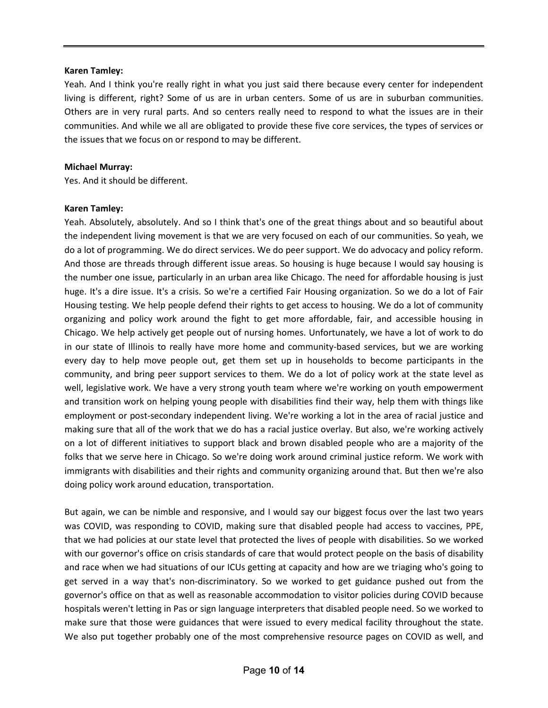Yeah. And I think you're really right in what you just said there because every center for independent living is different, right? Some of us are in urban centers. Some of us are in suburban communities. Others are in very rural parts. And so centers really need to respond to what the issues are in their communities. And while we all are obligated to provide these five core services, the types of services or the issues that we focus on or respond to may be different.

#### **Michael Murray:**

Yes. And it should be different.

#### **Karen Tamley:**

Yeah. Absolutely, absolutely. And so I think that's one of the great things about and so beautiful about the independent living movement is that we are very focused on each of our communities. So yeah, we do a lot of programming. We do direct services. We do peer support. We do advocacy and policy reform. And those are threads through different issue areas. So housing is huge because I would say housing is the number one issue, particularly in an urban area like Chicago. The need for affordable housing is just huge. It's a dire issue. It's a crisis. So we're a certified Fair Housing organization. So we do a lot of Fair Housing testing. We help people defend their rights to get access to housing. We do a lot of community organizing and policy work around the fight to get more affordable, fair, and accessible housing in Chicago. We help actively get people out of nursing homes. Unfortunately, we have a lot of work to do in our state of Illinois to really have more home and community-based services, but we are working every day to help move people out, get them set up in households to become participants in the community, and bring peer support services to them. We do a lot of policy work at the state level as well, legislative work. We have a very strong youth team where we're working on youth empowerment and transition work on helping young people with disabilities find their way, help them with things like employment or post-secondary independent living. We're working a lot in the area of racial justice and making sure that all of the work that we do has a racial justice overlay. But also, we're working actively on a lot of different initiatives to support black and brown disabled people who are a majority of the folks that we serve here in Chicago. So we're doing work around criminal justice reform. We work with immigrants with disabilities and their rights and community organizing around that. But then we're also doing policy work around education, transportation.

But again, we can be nimble and responsive, and I would say our biggest focus over the last two years was COVID, was responding to COVID, making sure that disabled people had access to vaccines, PPE, that we had policies at our state level that protected the lives of people with disabilities. So we worked with our governor's office on crisis standards of care that would protect people on the basis of disability and race when we had situations of our ICUs getting at capacity and how are we triaging who's going to get served in a way that's non-discriminatory. So we worked to get guidance pushed out from the governor's office on that as well as reasonable accommodation to visitor policies during COVID because hospitals weren't letting in Pas or sign language interpreters that disabled people need. So we worked to make sure that those were guidances that were issued to every medical facility throughout the state. We also put together probably one of the most comprehensive resource pages on COVID as well, and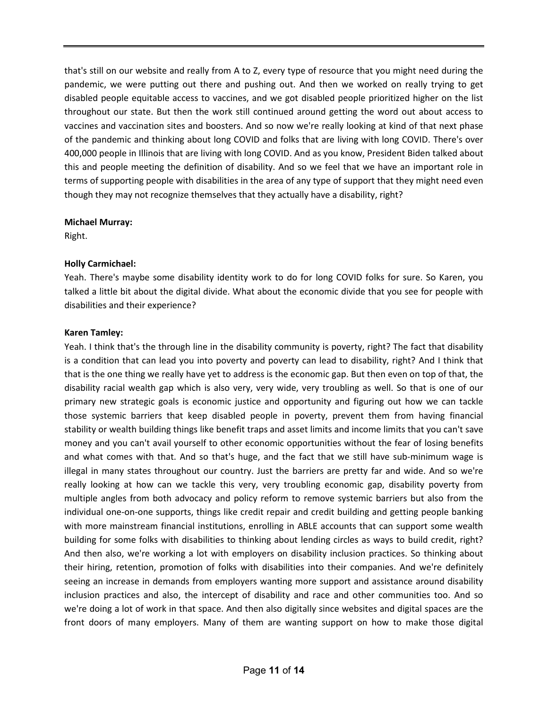that's still on our website and really from A to Z, every type of resource that you might need during the pandemic, we were putting out there and pushing out. And then we worked on really trying to get disabled people equitable access to vaccines, and we got disabled people prioritized higher on the list throughout our state. But then the work still continued around getting the word out about access to vaccines and vaccination sites and boosters. And so now we're really looking at kind of that next phase of the pandemic and thinking about long COVID and folks that are living with long COVID. There's over 400,000 people in Illinois that are living with long COVID. And as you know, President Biden talked about this and people meeting the definition of disability. And so we feel that we have an important role in terms of supporting people with disabilities in the area of any type of support that they might need even though they may not recognize themselves that they actually have a disability, right?

## **Michael Murray:**

Right.

## **Holly Carmichael:**

Yeah. There's maybe some disability identity work to do for long COVID folks for sure. So Karen, you talked a little bit about the digital divide. What about the economic divide that you see for people with disabilities and their experience?

## **Karen Tamley:**

Yeah. I think that's the through line in the disability community is poverty, right? The fact that disability is a condition that can lead you into poverty and poverty can lead to disability, right? And I think that that is the one thing we really have yet to address is the economic gap. But then even on top of that, the disability racial wealth gap which is also very, very wide, very troubling as well. So that is one of our primary new strategic goals is economic justice and opportunity and figuring out how we can tackle those systemic barriers that keep disabled people in poverty, prevent them from having financial stability or wealth building things like benefit traps and asset limits and income limits that you can't save money and you can't avail yourself to other economic opportunities without the fear of losing benefits and what comes with that. And so that's huge, and the fact that we still have sub-minimum wage is illegal in many states throughout our country. Just the barriers are pretty far and wide. And so we're really looking at how can we tackle this very, very troubling economic gap, disability poverty from multiple angles from both advocacy and policy reform to remove systemic barriers but also from the individual one-on-one supports, things like credit repair and credit building and getting people banking with more mainstream financial institutions, enrolling in ABLE accounts that can support some wealth building for some folks with disabilities to thinking about lending circles as ways to build credit, right? And then also, we're working a lot with employers on disability inclusion practices. So thinking about their hiring, retention, promotion of folks with disabilities into their companies. And we're definitely seeing an increase in demands from employers wanting more support and assistance around disability inclusion practices and also, the intercept of disability and race and other communities too. And so we're doing a lot of work in that space. And then also digitally since websites and digital spaces are the front doors of many employers. Many of them are wanting support on how to make those digital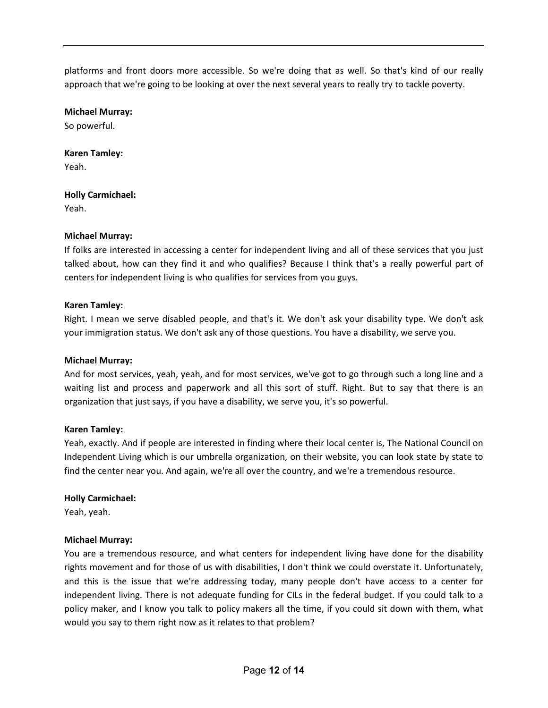platforms and front doors more accessible. So we're doing that as well. So that's kind of our really approach that we're going to be looking at over the next several years to really try to tackle poverty.

## **Michael Murray:**

So powerful.

## **Karen Tamley:**

Yeah.

## **Holly Carmichael:**

Yeah.

## **Michael Murray:**

If folks are interested in accessing a center for independent living and all of these services that you just talked about, how can they find it and who qualifies? Because I think that's a really powerful part of centers for independent living is who qualifies for services from you guys.

## **Karen Tamley:**

Right. I mean we serve disabled people, and that's it. We don't ask your disability type. We don't ask your immigration status. We don't ask any of those questions. You have a disability, we serve you.

#### **Michael Murray:**

And for most services, yeah, yeah, and for most services, we've got to go through such a long line and a waiting list and process and paperwork and all this sort of stuff. Right. But to say that there is an organization that just says, if you have a disability, we serve you, it's so powerful.

#### **Karen Tamley:**

Yeah, exactly. And if people are interested in finding where their local center is, The National Council on Independent Living which is our umbrella organization, on their website, you can look state by state to find the center near you. And again, we're all over the country, and we're a tremendous resource.

#### **Holly Carmichael:**

Yeah, yeah.

#### **Michael Murray:**

You are a tremendous resource, and what centers for independent living have done for the disability rights movement and for those of us with disabilities, I don't think we could overstate it. Unfortunately, and this is the issue that we're addressing today, many people don't have access to a center for independent living. There is not adequate funding for CILs in the federal budget. If you could talk to a policy maker, and I know you talk to policy makers all the time, if you could sit down with them, what would you say to them right now as it relates to that problem?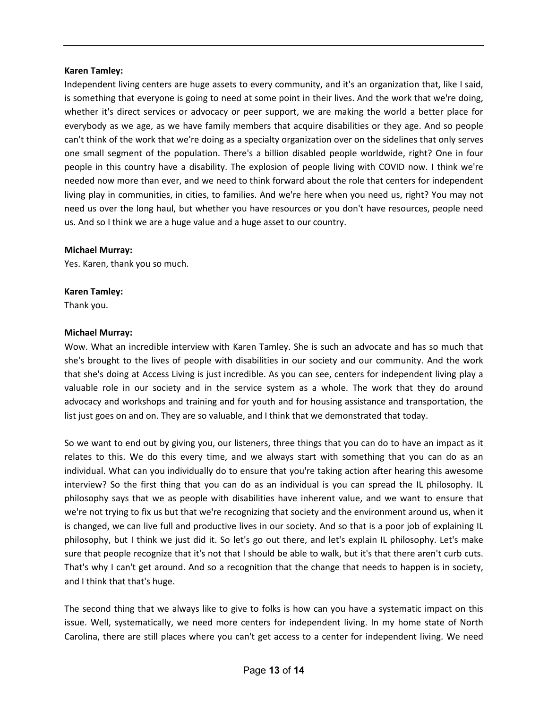Independent living centers are huge assets to every community, and it's an organization that, like I said, is something that everyone is going to need at some point in their lives. And the work that we're doing, whether it's direct services or advocacy or peer support, we are making the world a better place for everybody as we age, as we have family members that acquire disabilities or they age. And so people can't think of the work that we're doing as a specialty organization over on the sidelines that only serves one small segment of the population. There's a billion disabled people worldwide, right? One in four people in this country have a disability. The explosion of people living with COVID now. I think we're needed now more than ever, and we need to think forward about the role that centers for independent living play in communities, in cities, to families. And we're here when you need us, right? You may not need us over the long haul, but whether you have resources or you don't have resources, people need us. And so I think we are a huge value and a huge asset to our country.

#### **Michael Murray:**

Yes. Karen, thank you so much.

#### **Karen Tamley:**

Thank you.

#### **Michael Murray:**

Wow. What an incredible interview with Karen Tamley. She is such an advocate and has so much that she's brought to the lives of people with disabilities in our society and our community. And the work that she's doing at Access Living is just incredible. As you can see, centers for independent living play a valuable role in our society and in the service system as a whole. The work that they do around advocacy and workshops and training and for youth and for housing assistance and transportation, the list just goes on and on. They are so valuable, and I think that we demonstrated that today.

So we want to end out by giving you, our listeners, three things that you can do to have an impact as it relates to this. We do this every time, and we always start with something that you can do as an individual. What can you individually do to ensure that you're taking action after hearing this awesome interview? So the first thing that you can do as an individual is you can spread the IL philosophy. IL philosophy says that we as people with disabilities have inherent value, and we want to ensure that we're not trying to fix us but that we're recognizing that society and the environment around us, when it is changed, we can live full and productive lives in our society. And so that is a poor job of explaining IL philosophy, but I think we just did it. So let's go out there, and let's explain IL philosophy. Let's make sure that people recognize that it's not that I should be able to walk, but it's that there aren't curb cuts. That's why I can't get around. And so a recognition that the change that needs to happen is in society, and I think that that's huge.

The second thing that we always like to give to folks is how can you have a systematic impact on this issue. Well, systematically, we need more centers for independent living. In my home state of North Carolina, there are still places where you can't get access to a center for independent living. We need